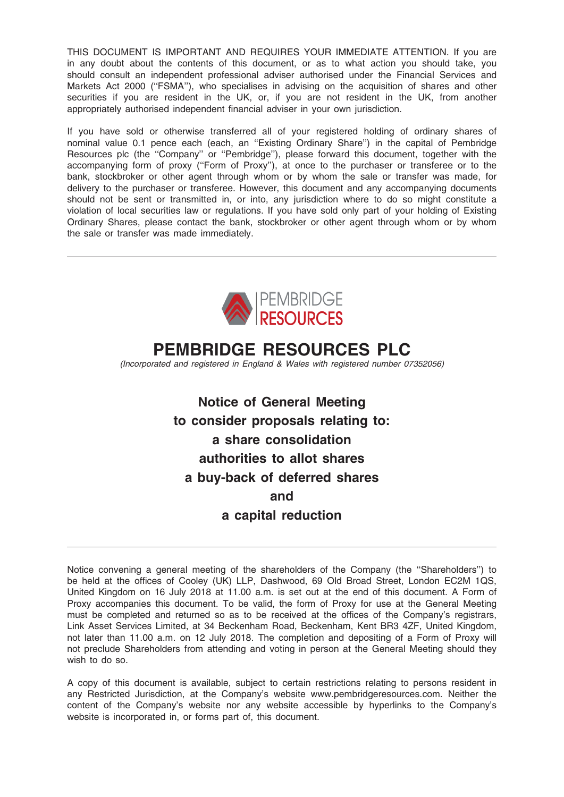THIS DOCUMENT IS IMPORTANT AND REQUIRES YOUR IMMEDIATE ATTENTION. If you are in any doubt about the contents of this document, or as to what action you should take, you should consult an independent professional adviser authorised under the Financial Services and Markets Act 2000 ("FSMA"), who specialises in advising on the acquisition of shares and other securities if you are resident in the UK, or, if you are not resident in the UK, from another appropriately authorised independent financial adviser in your own jurisdiction.

If you have sold or otherwise transferred all of your registered holding of ordinary shares of nominal value 0.1 pence each (each, an ''Existing Ordinary Share'') in the capital of Pembridge Resources plc (the ''Company'' or ''Pembridge''), please forward this document, together with the accompanying form of proxy (''Form of Proxy''), at once to the purchaser or transferee or to the bank, stockbroker or other agent through whom or by whom the sale or transfer was made, for delivery to the purchaser or transferee. However, this document and any accompanying documents should not be sent or transmitted in, or into, any jurisdiction where to do so might constitute a violation of local securities law or regulations. If you have sold only part of your holding of Existing Ordinary Shares, please contact the bank, stockbroker or other agent through whom or by whom the sale or transfer was made immediately.



# PEMBRIDGE RESOURCES PLC

(Incorporated and registered in England & Wales with registered number 07352056)

Notice of General Meeting to consider proposals relating to: a share consolidation authorities to allot shares a buy-back of deferred shares and a capital reduction

Notice convening a general meeting of the shareholders of the Company (the ''Shareholders'') to be held at the offices of Cooley (UK) LLP, Dashwood, 69 Old Broad Street, London EC2M 1QS, United Kingdom on 16 July 2018 at 11.00 a.m. is set out at the end of this document. A Form of Proxy accompanies this document. To be valid, the form of Proxy for use at the General Meeting must be completed and returned so as to be received at the offices of the Company's registrars, Link Asset Services Limited, at 34 Beckenham Road, Beckenham, Kent BR3 4ZF, United Kingdom, not later than 11.00 a.m. on 12 July 2018. The completion and depositing of a Form of Proxy will not preclude Shareholders from attending and voting in person at the General Meeting should they wish to do so.

A copy of this document is available, subject to certain restrictions relating to persons resident in any Restricted Jurisdiction, at the Company's website www.pembridgeresources.com. Neither the content of the Company's website nor any website accessible by hyperlinks to the Company's website is incorporated in, or forms part of, this document.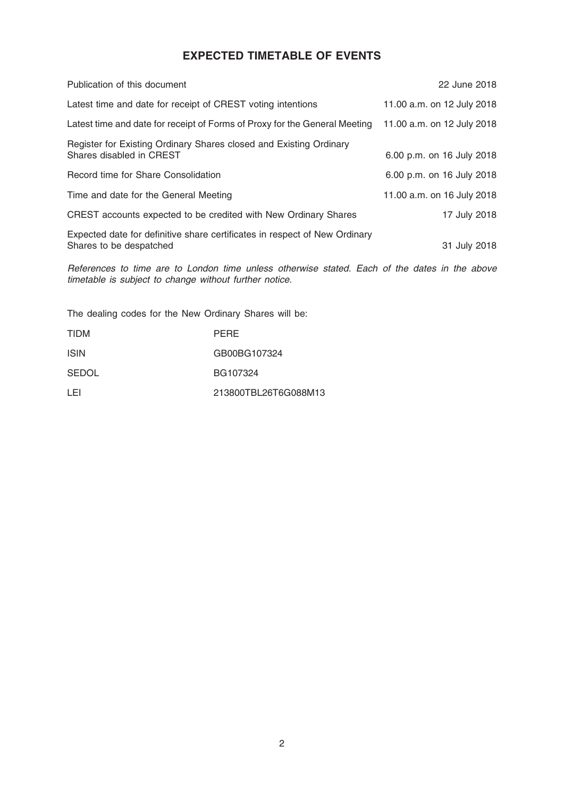### EXPECTED TIMETABLE OF EVENTS

| Publication of this document                                                                          | 22 June 2018               |
|-------------------------------------------------------------------------------------------------------|----------------------------|
| Latest time and date for receipt of CREST voting intentions                                           | 11.00 a.m. on 12 July 2018 |
| Latest time and date for receipt of Forms of Proxy for the General Meeting                            | 11.00 a.m. on 12 July 2018 |
| Register for Existing Ordinary Shares closed and Existing Ordinary<br>Shares disabled in CREST        | 6.00 p.m. on 16 July 2018  |
| Record time for Share Consolidation                                                                   | 6.00 p.m. on 16 July 2018  |
| Time and date for the General Meeting                                                                 | 11.00 a.m. on 16 July 2018 |
| CREST accounts expected to be credited with New Ordinary Shares                                       | 17 July 2018               |
| Expected date for definitive share certificates in respect of New Ordinary<br>Shares to be despatched | 31 July 2018               |

References to time are to London time unless otherwise stated. Each of the dates in the above timetable is subject to change without further notice.

The dealing codes for the New Ordinary Shares will be:

| <b>TIDM</b>  | <b>PERE</b>          |
|--------------|----------------------|
| <b>ISIN</b>  | GB00BG107324         |
| <b>SEDOL</b> | BG107324             |
| I EI         | 213800TBL26T6G088M13 |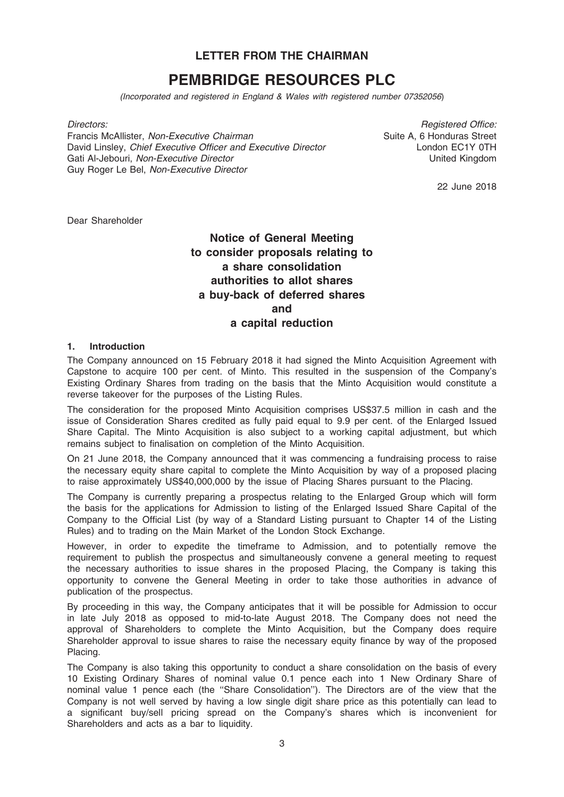### LETTER FROM THE CHAIRMAN

## PEMBRIDGE RESOURCES PLC

(Incorporated and registered in England & Wales with registered number 07352056)

Directors:

Francis McAllister, Non-Executive Chairman David Linsley, Chief Executive Officer and Executive Director Gati Al-Jebouri, Non-Executive Director Guy Roger Le Bel, Non-Executive Director

Registered Office: Suite A, 6 Honduras Street London EC1Y 0TH United Kingdom

22 June 2018

Dear Shareholder

### Notice of General Meeting to consider proposals relating to a share consolidation authorities to allot shares a buy-back of deferred shares and a capital reduction

### 1. Introduction

The Company announced on 15 February 2018 it had signed the Minto Acquisition Agreement with Capstone to acquire 100 per cent. of Minto. This resulted in the suspension of the Company's Existing Ordinary Shares from trading on the basis that the Minto Acquisition would constitute a reverse takeover for the purposes of the Listing Rules.

The consideration for the proposed Minto Acquisition comprises US\$37.5 million in cash and the issue of Consideration Shares credited as fully paid equal to 9.9 per cent. of the Enlarged Issued Share Capital. The Minto Acquisition is also subject to a working capital adjustment, but which remains subject to finalisation on completion of the Minto Acquisition.

On 21 June 2018, the Company announced that it was commencing a fundraising process to raise the necessary equity share capital to complete the Minto Acquisition by way of a proposed placing to raise approximately US\$40,000,000 by the issue of Placing Shares pursuant to the Placing.

The Company is currently preparing a prospectus relating to the Enlarged Group which will form the basis for the applications for Admission to listing of the Enlarged Issued Share Capital of the Company to the Official List (by way of a Standard Listing pursuant to Chapter 14 of the Listing Rules) and to trading on the Main Market of the London Stock Exchange.

However, in order to expedite the timeframe to Admission, and to potentially remove the requirement to publish the prospectus and simultaneously convene a general meeting to request the necessary authorities to issue shares in the proposed Placing, the Company is taking this opportunity to convene the General Meeting in order to take those authorities in advance of publication of the prospectus.

By proceeding in this way, the Company anticipates that it will be possible for Admission to occur in late July 2018 as opposed to mid-to-late August 2018. The Company does not need the approval of Shareholders to complete the Minto Acquisition, but the Company does require Shareholder approval to issue shares to raise the necessary equity finance by way of the proposed Placing.

The Company is also taking this opportunity to conduct a share consolidation on the basis of every 10 Existing Ordinary Shares of nominal value 0.1 pence each into 1 New Ordinary Share of nominal value 1 pence each (the ''Share Consolidation''). The Directors are of the view that the Company is not well served by having a low single digit share price as this potentially can lead to a significant buy/sell pricing spread on the Company's shares which is inconvenient for Shareholders and acts as a bar to liquidity.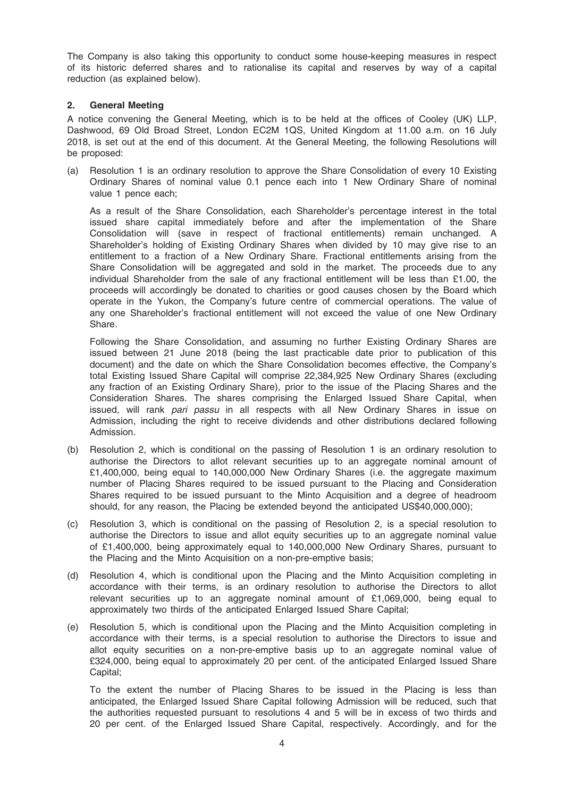The Company is also taking this opportunity to conduct some house-keeping measures in respect of its historic deferred shares and to rationalise its capital and reserves by way of a capital reduction (as explained below).

### 2. General Meeting

A notice convening the General Meeting, which is to be held at the offices of Cooley (UK) LLP, Dashwood, 69 Old Broad Street, London EC2M 1QS, United Kingdom at 11.00 a.m. on 16 July 2018, is set out at the end of this document. At the General Meeting, the following Resolutions will be proposed:

(a) Resolution 1 is an ordinary resolution to approve the Share Consolidation of every 10 Existing Ordinary Shares of nominal value 0.1 pence each into 1 New Ordinary Share of nominal value 1 pence each;

As a result of the Share Consolidation, each Shareholder's percentage interest in the total issued share capital immediately before and after the implementation of the Share Consolidation will (save in respect of fractional entitlements) remain unchanged. A Shareholder's holding of Existing Ordinary Shares when divided by 10 may give rise to an entitlement to a fraction of a New Ordinary Share. Fractional entitlements arising from the Share Consolidation will be aggregated and sold in the market. The proceeds due to any individual Shareholder from the sale of any fractional entitlement will be less than £1.00, the proceeds will accordingly be donated to charities or good causes chosen by the Board which operate in the Yukon, the Company's future centre of commercial operations. The value of any one Shareholder's fractional entitlement will not exceed the value of one New Ordinary Share.

Following the Share Consolidation, and assuming no further Existing Ordinary Shares are issued between 21 June 2018 (being the last practicable date prior to publication of this document) and the date on which the Share Consolidation becomes effective, the Company's total Existing Issued Share Capital will comprise 22,384,925 New Ordinary Shares (excluding any fraction of an Existing Ordinary Share), prior to the issue of the Placing Shares and the Consideration Shares. The shares comprising the Enlarged Issued Share Capital, when issued, will rank pari passu in all respects with all New Ordinary Shares in issue on Admission, including the right to receive dividends and other distributions declared following Admission.

- (b) Resolution 2, which is conditional on the passing of Resolution 1 is an ordinary resolution to authorise the Directors to allot relevant securities up to an aggregate nominal amount of £1,400,000, being equal to 140,000,000 New Ordinary Shares (i.e. the aggregate maximum number of Placing Shares required to be issued pursuant to the Placing and Consideration Shares required to be issued pursuant to the Minto Acquisition and a degree of headroom should, for any reason, the Placing be extended beyond the anticipated US\$40,000,000);
- (c) Resolution 3, which is conditional on the passing of Resolution 2, is a special resolution to authorise the Directors to issue and allot equity securities up to an aggregate nominal value of £1,400,000, being approximately equal to 140,000,000 New Ordinary Shares, pursuant to the Placing and the Minto Acquisition on a non-pre-emptive basis;
- (d) Resolution 4, which is conditional upon the Placing and the Minto Acquisition completing in accordance with their terms, is an ordinary resolution to authorise the Directors to allot relevant securities up to an aggregate nominal amount of £1,069,000, being equal to approximately two thirds of the anticipated Enlarged Issued Share Capital;
- (e) Resolution 5, which is conditional upon the Placing and the Minto Acquisition completing in accordance with their terms, is a special resolution to authorise the Directors to issue and allot equity securities on a non-pre-emptive basis up to an aggregate nominal value of £324,000, being equal to approximately 20 per cent. of the anticipated Enlarged Issued Share Capital;

To the extent the number of Placing Shares to be issued in the Placing is less than anticipated, the Enlarged Issued Share Capital following Admission will be reduced, such that the authorities requested pursuant to resolutions 4 and 5 will be in excess of two thirds and 20 per cent. of the Enlarged Issued Share Capital, respectively. Accordingly, and for the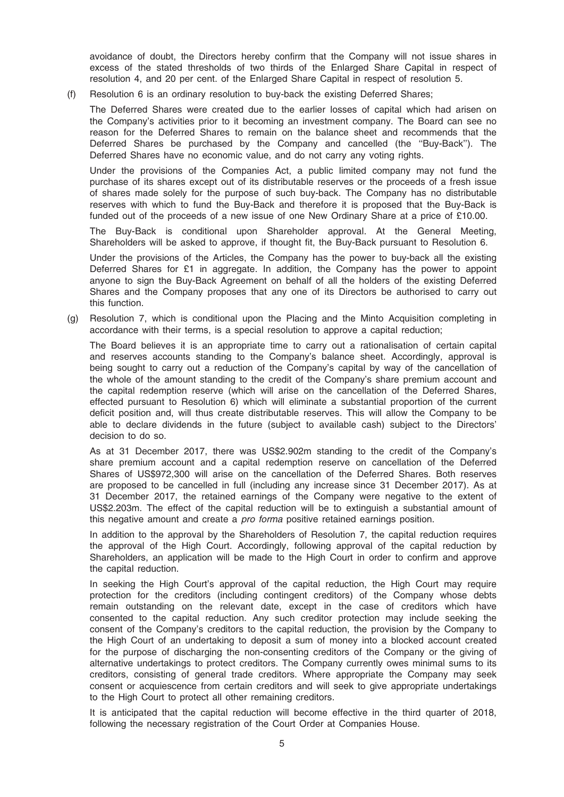avoidance of doubt, the Directors hereby confirm that the Company will not issue shares in excess of the stated thresholds of two thirds of the Enlarged Share Capital in respect of resolution 4, and 20 per cent. of the Enlarged Share Capital in respect of resolution 5.

(f) Resolution 6 is an ordinary resolution to buy-back the existing Deferred Shares;

The Deferred Shares were created due to the earlier losses of capital which had arisen on the Company's activities prior to it becoming an investment company. The Board can see no reason for the Deferred Shares to remain on the balance sheet and recommends that the Deferred Shares be purchased by the Company and cancelled (the ''Buy-Back''). The Deferred Shares have no economic value, and do not carry any voting rights.

Under the provisions of the Companies Act, a public limited company may not fund the purchase of its shares except out of its distributable reserves or the proceeds of a fresh issue of shares made solely for the purpose of such buy-back. The Company has no distributable reserves with which to fund the Buy-Back and therefore it is proposed that the Buy-Back is funded out of the proceeds of a new issue of one New Ordinary Share at a price of £10.00.

The Buy-Back is conditional upon Shareholder approval. At the General Meeting, Shareholders will be asked to approve, if thought fit, the Buy-Back pursuant to Resolution 6.

Under the provisions of the Articles, the Company has the power to buy-back all the existing Deferred Shares for £1 in aggregate. In addition, the Company has the power to appoint anyone to sign the Buy-Back Agreement on behalf of all the holders of the existing Deferred Shares and the Company proposes that any one of its Directors be authorised to carry out this function.

(g) Resolution 7, which is conditional upon the Placing and the Minto Acquisition completing in accordance with their terms, is a special resolution to approve a capital reduction;

The Board believes it is an appropriate time to carry out a rationalisation of certain capital and reserves accounts standing to the Company's balance sheet. Accordingly, approval is being sought to carry out a reduction of the Company's capital by way of the cancellation of the whole of the amount standing to the credit of the Company's share premium account and the capital redemption reserve (which will arise on the cancellation of the Deferred Shares, effected pursuant to Resolution 6) which will eliminate a substantial proportion of the current deficit position and, will thus create distributable reserves. This will allow the Company to be able to declare dividends in the future (subject to available cash) subject to the Directors' decision to do so.

As at 31 December 2017, there was US\$2.902m standing to the credit of the Company's share premium account and a capital redemption reserve on cancellation of the Deferred Shares of US\$972,300 will arise on the cancellation of the Deferred Shares. Both reserves are proposed to be cancelled in full (including any increase since 31 December 2017). As at 31 December 2017, the retained earnings of the Company were negative to the extent of US\$2.203m. The effect of the capital reduction will be to extinguish a substantial amount of this negative amount and create a *pro forma* positive retained earnings position.

In addition to the approval by the Shareholders of Resolution 7, the capital reduction requires the approval of the High Court. Accordingly, following approval of the capital reduction by Shareholders, an application will be made to the High Court in order to confirm and approve the capital reduction.

In seeking the High Court's approval of the capital reduction, the High Court may require protection for the creditors (including contingent creditors) of the Company whose debts remain outstanding on the relevant date, except in the case of creditors which have consented to the capital reduction. Any such creditor protection may include seeking the consent of the Company's creditors to the capital reduction, the provision by the Company to the High Court of an undertaking to deposit a sum of money into a blocked account created for the purpose of discharging the non-consenting creditors of the Company or the giving of alternative undertakings to protect creditors. The Company currently owes minimal sums to its creditors, consisting of general trade creditors. Where appropriate the Company may seek consent or acquiescence from certain creditors and will seek to give appropriate undertakings to the High Court to protect all other remaining creditors.

It is anticipated that the capital reduction will become effective in the third quarter of 2018, following the necessary registration of the Court Order at Companies House.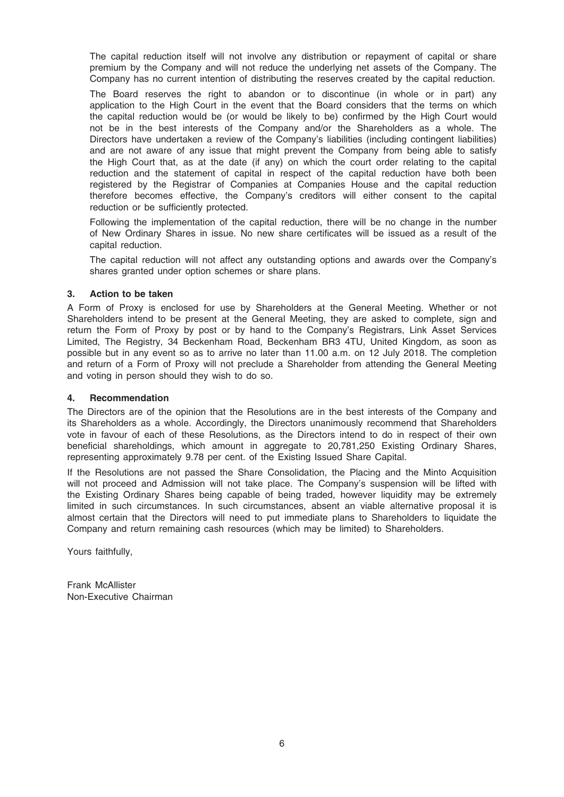The capital reduction itself will not involve any distribution or repayment of capital or share premium by the Company and will not reduce the underlying net assets of the Company. The Company has no current intention of distributing the reserves created by the capital reduction.

The Board reserves the right to abandon or to discontinue (in whole or in part) any application to the High Court in the event that the Board considers that the terms on which the capital reduction would be (or would be likely to be) confirmed by the High Court would not be in the best interests of the Company and/or the Shareholders as a whole. The Directors have undertaken a review of the Company's liabilities (including contingent liabilities) and are not aware of any issue that might prevent the Company from being able to satisfy the High Court that, as at the date (if any) on which the court order relating to the capital reduction and the statement of capital in respect of the capital reduction have both been registered by the Registrar of Companies at Companies House and the capital reduction therefore becomes effective, the Company's creditors will either consent to the capital reduction or be sufficiently protected.

Following the implementation of the capital reduction, there will be no change in the number of New Ordinary Shares in issue. No new share certificates will be issued as a result of the capital reduction.

The capital reduction will not affect any outstanding options and awards over the Company's shares granted under option schemes or share plans.

#### 3. Action to be taken

A Form of Proxy is enclosed for use by Shareholders at the General Meeting. Whether or not Shareholders intend to be present at the General Meeting, they are asked to complete, sign and return the Form of Proxy by post or by hand to the Company's Registrars, Link Asset Services Limited, The Registry, 34 Beckenham Road, Beckenham BR3 4TU, United Kingdom, as soon as possible but in any event so as to arrive no later than 11.00 a.m. on 12 July 2018. The completion and return of a Form of Proxy will not preclude a Shareholder from attending the General Meeting and voting in person should they wish to do so.

### 4. Recommendation

The Directors are of the opinion that the Resolutions are in the best interests of the Company and its Shareholders as a whole. Accordingly, the Directors unanimously recommend that Shareholders vote in favour of each of these Resolutions, as the Directors intend to do in respect of their own beneficial shareholdings, which amount in aggregate to 20,781,250 Existing Ordinary Shares, representing approximately 9.78 per cent. of the Existing Issued Share Capital.

If the Resolutions are not passed the Share Consolidation, the Placing and the Minto Acquisition will not proceed and Admission will not take place. The Company's suspension will be lifted with the Existing Ordinary Shares being capable of being traded, however liquidity may be extremely limited in such circumstances. In such circumstances, absent an viable alternative proposal it is almost certain that the Directors will need to put immediate plans to Shareholders to liquidate the Company and return remaining cash resources (which may be limited) to Shareholders.

Yours faithfully,

Frank McAllister Non-Executive Chairman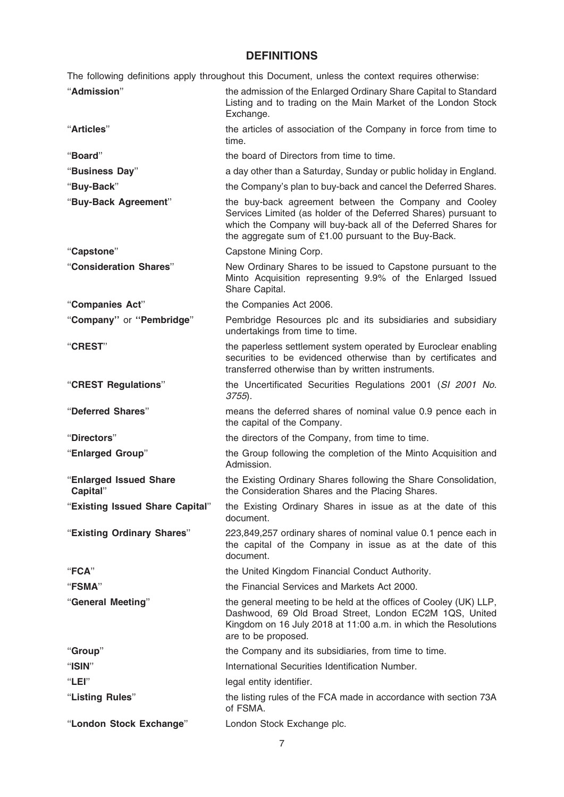### **DEFINITIONS**

The following definitions apply throughout this Document, unless the context requires otherwise:

| "Admission"                        | the admission of the Enlarged Ordinary Share Capital to Standard<br>Listing and to trading on the Main Market of the London Stock<br>Exchange.                                                                                                     |
|------------------------------------|----------------------------------------------------------------------------------------------------------------------------------------------------------------------------------------------------------------------------------------------------|
| "Articles"                         | the articles of association of the Company in force from time to<br>time.                                                                                                                                                                          |
| "Board"                            | the board of Directors from time to time.                                                                                                                                                                                                          |
| "Business Day"                     | a day other than a Saturday, Sunday or public holiday in England.                                                                                                                                                                                  |
| "Buy-Back"                         | the Company's plan to buy-back and cancel the Deferred Shares.                                                                                                                                                                                     |
| "Buy-Back Agreement"               | the buy-back agreement between the Company and Cooley<br>Services Limited (as holder of the Deferred Shares) pursuant to<br>which the Company will buy-back all of the Deferred Shares for<br>the aggregate sum of £1.00 pursuant to the Buy-Back. |
| "Capstone"                         | Capstone Mining Corp.                                                                                                                                                                                                                              |
| "Consideration Shares"             | New Ordinary Shares to be issued to Capstone pursuant to the<br>Minto Acquisition representing 9.9% of the Enlarged Issued<br>Share Capital.                                                                                                       |
| "Companies Act"                    | the Companies Act 2006.                                                                                                                                                                                                                            |
| "Company" or "Pembridge"           | Pembridge Resources plc and its subsidiaries and subsidiary<br>undertakings from time to time.                                                                                                                                                     |
| "CREST"                            | the paperless settlement system operated by Euroclear enabling<br>securities to be evidenced otherwise than by certificates and<br>transferred otherwise than by written instruments.                                                              |
| "CREST Regulations"                | the Uncertificated Securities Regulations 2001 (SI 2001 No.<br>$3755$ ).                                                                                                                                                                           |
|                                    |                                                                                                                                                                                                                                                    |
| "Deferred Shares"                  | means the deferred shares of nominal value 0.9 pence each in<br>the capital of the Company.                                                                                                                                                        |
| "Directors"                        | the directors of the Company, from time to time.                                                                                                                                                                                                   |
| "Enlarged Group"                   | the Group following the completion of the Minto Acquisition and<br>Admission.                                                                                                                                                                      |
| "Enlarged Issued Share<br>Capital" | the Existing Ordinary Shares following the Share Consolidation,<br>the Consideration Shares and the Placing Shares.                                                                                                                                |
| "Existing Issued Share Capital"    | the Existing Ordinary Shares in issue as at the date of this<br>document.                                                                                                                                                                          |
| "Existing Ordinary Shares"         | 223,849,257 ordinary shares of nominal value 0.1 pence each in<br>the capital of the Company in issue as at the date of this<br>document.                                                                                                          |
| "FCA"                              | the United Kingdom Financial Conduct Authority.                                                                                                                                                                                                    |
| <b>"FSMA"</b>                      | the Financial Services and Markets Act 2000.                                                                                                                                                                                                       |
| "General Meeting"                  | the general meeting to be held at the offices of Cooley (UK) LLP,<br>Dashwood, 69 Old Broad Street, London EC2M 1QS, United<br>Kingdom on 16 July 2018 at 11:00 a.m. in which the Resolutions<br>are to be proposed.                               |
| "Group"                            | the Company and its subsidiaries, from time to time.                                                                                                                                                                                               |
| "ISIN"                             | International Securities Identification Number.                                                                                                                                                                                                    |
| "LEI"                              | legal entity identifier.                                                                                                                                                                                                                           |
| "Listing Rules"                    | the listing rules of the FCA made in accordance with section 73A<br>of FSMA.                                                                                                                                                                       |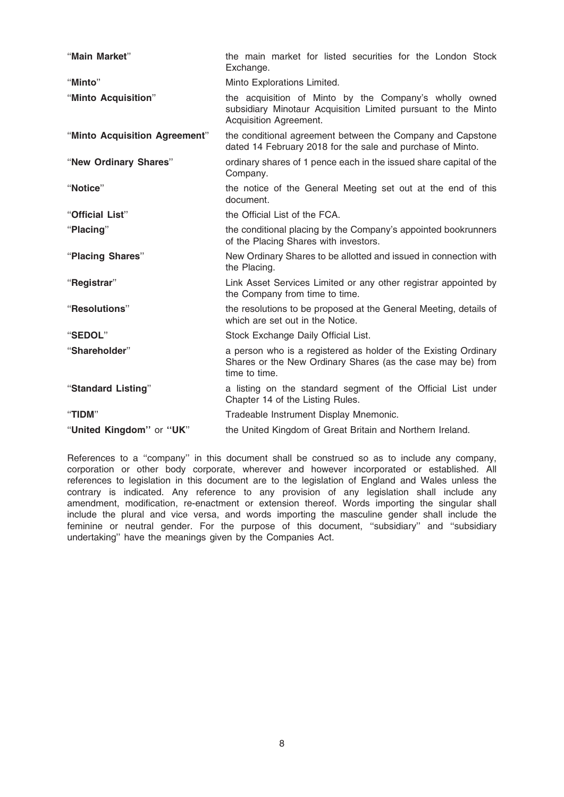| "Main Market"                 | the main market for listed securities for the London Stock<br>Exchange.                                                                           |
|-------------------------------|---------------------------------------------------------------------------------------------------------------------------------------------------|
| "Minto"                       | Minto Explorations Limited.                                                                                                                       |
| "Minto Acquisition"           | the acquisition of Minto by the Company's wholly owned<br>subsidiary Minotaur Acquisition Limited pursuant to the Minto<br>Acquisition Agreement. |
| "Minto Acquisition Agreement" | the conditional agreement between the Company and Capstone<br>dated 14 February 2018 for the sale and purchase of Minto.                          |
| "New Ordinary Shares"         | ordinary shares of 1 pence each in the issued share capital of the<br>Company.                                                                    |
| "Notice"                      | the notice of the General Meeting set out at the end of this<br>document.                                                                         |
| "Official List"               | the Official List of the FCA.                                                                                                                     |
| "Placing"                     | the conditional placing by the Company's appointed bookrunners<br>of the Placing Shares with investors.                                           |
| "Placing Shares"              | New Ordinary Shares to be allotted and issued in connection with<br>the Placing.                                                                  |
| "Registrar"                   | Link Asset Services Limited or any other registrar appointed by<br>the Company from time to time.                                                 |
| "Resolutions"                 | the resolutions to be proposed at the General Meeting, details of<br>which are set out in the Notice.                                             |
| "SEDOL"                       | Stock Exchange Daily Official List.                                                                                                               |
| "Shareholder"                 | a person who is a registered as holder of the Existing Ordinary<br>Shares or the New Ordinary Shares (as the case may be) from<br>time to time.   |
| "Standard Listing"            | a listing on the standard segment of the Official List under<br>Chapter 14 of the Listing Rules.                                                  |
| "TIDM"                        | Tradeable Instrument Display Mnemonic.                                                                                                            |
| "United Kingdom" or "UK"      | the United Kingdom of Great Britain and Northern Ireland.                                                                                         |

References to a ''company'' in this document shall be construed so as to include any company, corporation or other body corporate, wherever and however incorporated or established. All references to legislation in this document are to the legislation of England and Wales unless the contrary is indicated. Any reference to any provision of any legislation shall include any amendment, modification, re-enactment or extension thereof. Words importing the singular shall include the plural and vice versa, and words importing the masculine gender shall include the feminine or neutral gender. For the purpose of this document, ''subsidiary'' and ''subsidiary undertaking'' have the meanings given by the Companies Act.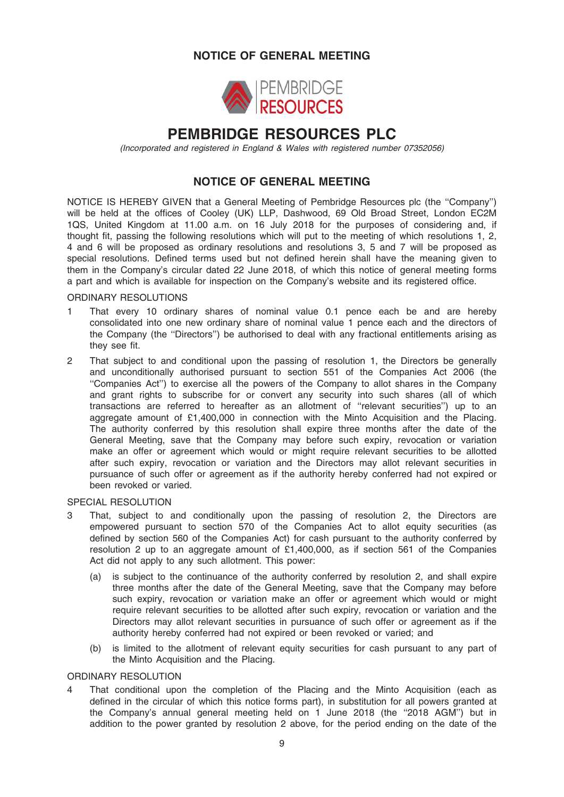### NOTICE OF GENERAL MEETING



## PEMBRIDGE RESOURCES PLC

(Incorporated and registered in England & Wales with registered number 07352056)

### NOTICE OF GENERAL MEETING

NOTICE IS HEREBY GIVEN that a General Meeting of Pembridge Resources plc (the ''Company'') will be held at the offices of Cooley (UK) LLP, Dashwood, 69 Old Broad Street, London EC2M 1QS, United Kingdom at 11.00 a.m. on 16 July 2018 for the purposes of considering and, if thought fit, passing the following resolutions which will put to the meeting of which resolutions 1, 2, 4 and 6 will be proposed as ordinary resolutions and resolutions 3, 5 and 7 will be proposed as special resolutions. Defined terms used but not defined herein shall have the meaning given to them in the Company's circular dated 22 June 2018, of which this notice of general meeting forms a part and which is available for inspection on the Company's website and its registered office.

### ORDINARY RESOLUTIONS

- 1 That every 10 ordinary shares of nominal value 0.1 pence each be and are hereby consolidated into one new ordinary share of nominal value 1 pence each and the directors of the Company (the ''Directors'') be authorised to deal with any fractional entitlements arising as they see fit.
- 2 That subject to and conditional upon the passing of resolution 1, the Directors be generally and unconditionally authorised pursuant to section 551 of the Companies Act 2006 (the ''Companies Act'') to exercise all the powers of the Company to allot shares in the Company and grant rights to subscribe for or convert any security into such shares (all of which transactions are referred to hereafter as an allotment of ''relevant securities'') up to an aggregate amount of £1,400,000 in connection with the Minto Acquisition and the Placing. The authority conferred by this resolution shall expire three months after the date of the General Meeting, save that the Company may before such expiry, revocation or variation make an offer or agreement which would or might require relevant securities to be allotted after such expiry, revocation or variation and the Directors may allot relevant securities in pursuance of such offer or agreement as if the authority hereby conferred had not expired or been revoked or varied.

#### SPECIAL RESOLUTION

- 3 That, subject to and conditionally upon the passing of resolution 2, the Directors are empowered pursuant to section 570 of the Companies Act to allot equity securities (as defined by section 560 of the Companies Act) for cash pursuant to the authority conferred by resolution 2 up to an aggregate amount of £1,400,000, as if section 561 of the Companies Act did not apply to any such allotment. This power:
	- (a) is subject to the continuance of the authority conferred by resolution 2, and shall expire three months after the date of the General Meeting, save that the Company may before such expiry, revocation or variation make an offer or agreement which would or might require relevant securities to be allotted after such expiry, revocation or variation and the Directors may allot relevant securities in pursuance of such offer or agreement as if the authority hereby conferred had not expired or been revoked or varied; and
	- (b) is limited to the allotment of relevant equity securities for cash pursuant to any part of the Minto Acquisition and the Placing.

#### ORDINARY RESOLUTION

4 That conditional upon the completion of the Placing and the Minto Acquisition (each as defined in the circular of which this notice forms part), in substitution for all powers granted at the Company's annual general meeting held on 1 June 2018 (the ''2018 AGM'') but in addition to the power granted by resolution 2 above, for the period ending on the date of the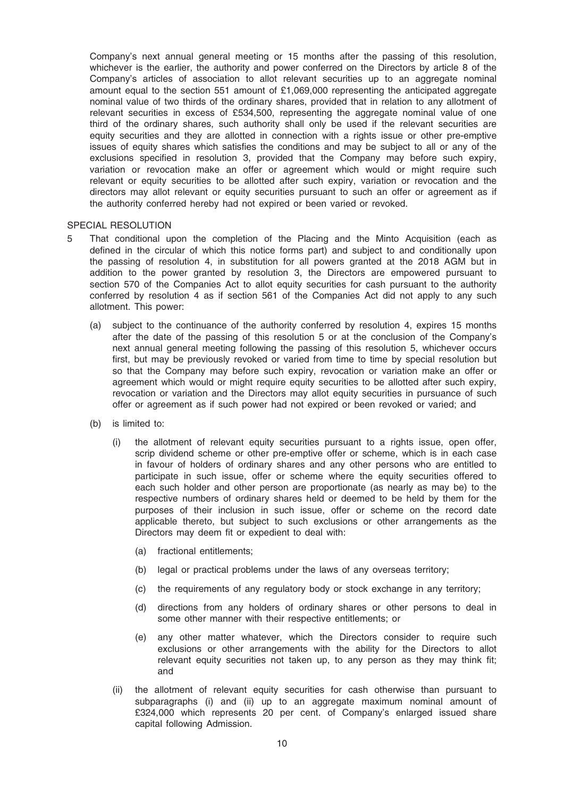Company's next annual general meeting or 15 months after the passing of this resolution, whichever is the earlier, the authority and power conferred on the Directors by article 8 of the Company's articles of association to allot relevant securities up to an aggregate nominal amount equal to the section 551 amount of £1,069,000 representing the anticipated aggregate nominal value of two thirds of the ordinary shares, provided that in relation to any allotment of relevant securities in excess of £534,500, representing the aggregate nominal value of one third of the ordinary shares, such authority shall only be used if the relevant securities are equity securities and they are allotted in connection with a rights issue or other pre-emptive issues of equity shares which satisfies the conditions and may be subject to all or any of the exclusions specified in resolution 3, provided that the Company may before such expiry, variation or revocation make an offer or agreement which would or might require such relevant or equity securities to be allotted after such expiry, variation or revocation and the directors may allot relevant or equity securities pursuant to such an offer or agreement as if the authority conferred hereby had not expired or been varied or revoked.

#### SPECIAL RESOLUTION

- 5 That conditional upon the completion of the Placing and the Minto Acquisition (each as defined in the circular of which this notice forms part) and subject to and conditionally upon the passing of resolution 4, in substitution for all powers granted at the 2018 AGM but in addition to the power granted by resolution 3, the Directors are empowered pursuant to section 570 of the Companies Act to allot equity securities for cash pursuant to the authority conferred by resolution 4 as if section 561 of the Companies Act did not apply to any such allotment. This power:
	- (a) subject to the continuance of the authority conferred by resolution 4, expires 15 months after the date of the passing of this resolution 5 or at the conclusion of the Company's next annual general meeting following the passing of this resolution 5, whichever occurs first, but may be previously revoked or varied from time to time by special resolution but so that the Company may before such expiry, revocation or variation make an offer or agreement which would or might require equity securities to be allotted after such expiry, revocation or variation and the Directors may allot equity securities in pursuance of such offer or agreement as if such power had not expired or been revoked or varied; and
	- (b) is limited to:
		- (i) the allotment of relevant equity securities pursuant to a rights issue, open offer, scrip dividend scheme or other pre-emptive offer or scheme, which is in each case in favour of holders of ordinary shares and any other persons who are entitled to participate in such issue, offer or scheme where the equity securities offered to each such holder and other person are proportionate (as nearly as may be) to the respective numbers of ordinary shares held or deemed to be held by them for the purposes of their inclusion in such issue, offer or scheme on the record date applicable thereto, but subject to such exclusions or other arrangements as the Directors may deem fit or expedient to deal with:
			- (a) fractional entitlements;
			- (b) legal or practical problems under the laws of any overseas territory;
			- (c) the requirements of any regulatory body or stock exchange in any territory;
			- (d) directions from any holders of ordinary shares or other persons to deal in some other manner with their respective entitlements; or
			- (e) any other matter whatever, which the Directors consider to require such exclusions or other arrangements with the ability for the Directors to allot relevant equity securities not taken up, to any person as they may think fit; and
		- (ii) the allotment of relevant equity securities for cash otherwise than pursuant to subparagraphs (i) and (ii) up to an aggregate maximum nominal amount of £324,000 which represents 20 per cent. of Company's enlarged issued share capital following Admission.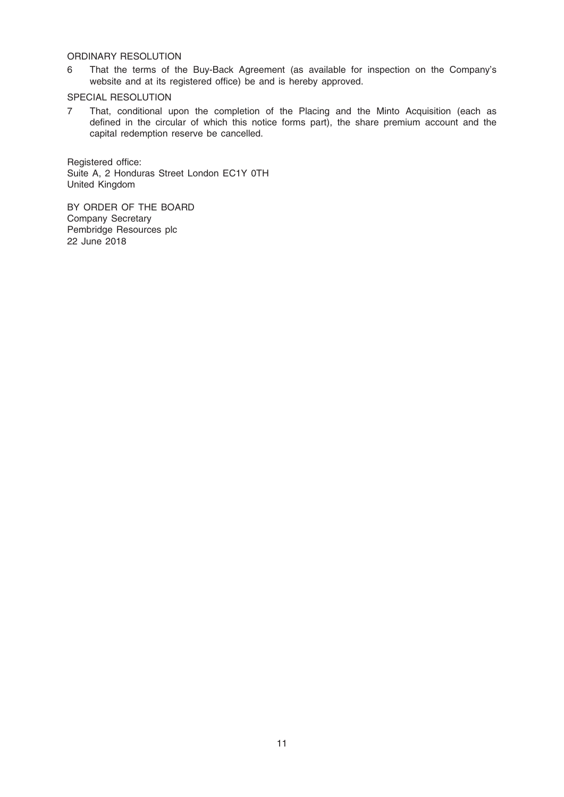### ORDINARY RESOLUTION

6 That the terms of the Buy-Back Agreement (as available for inspection on the Company's website and at its registered office) be and is hereby approved.

### SPECIAL RESOLUTION

7 That, conditional upon the completion of the Placing and the Minto Acquisition (each as defined in the circular of which this notice forms part), the share premium account and the capital redemption reserve be cancelled.

Registered office: Suite A, 2 Honduras Street London EC1Y 0TH United Kingdom

BY ORDER OF THE BOARD Company Secretary Pembridge Resources plc 22 June 2018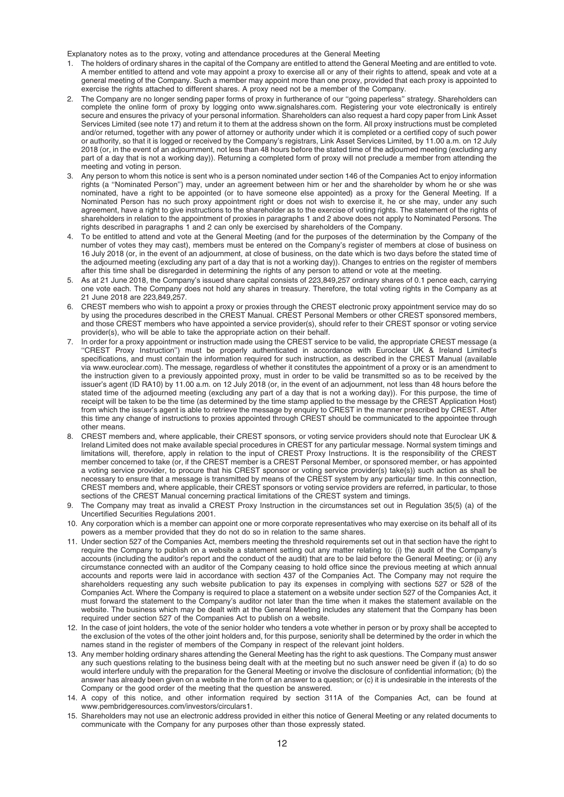Explanatory notes as to the proxy, voting and attendance procedures at the General Meeting

- The holders of ordinary shares in the capital of the Company are entitled to attend the General Meeting and are entitled to vote. A member entitled to attend and vote may appoint a proxy to exercise all or any of their rights to attend, speak and vote at a general meeting of the Company. Such a member may appoint more than one proxy, provided that each proxy is appointed to exercise the rights attached to different shares. A proxy need not be a member of the Company.
- 2. The Company are no longer sending paper forms of proxy in furtherance of our ''going paperless'' strategy. Shareholders can complete the online form of proxy by logging onto www.signalshares.com. Registering your vote electronically is entirely secure and ensures the privacy of your personal information. Shareholders can also request a hard copy paper from Link Asset Services Limited (see note 17) and return it to them at the address shown on the form. All proxy instructions must be completed and/or returned, together with any power of attorney or authority under which it is completed or a certified copy of such power or authority, so that it is logged or received by the Company's registrars, Link Asset Services Limited, by 11.00 a.m. on 12 July 2018 (or, in the event of an adjournment, not less than 48 hours before the stated time of the adjourned meeting (excluding any part of a day that is not a working day)). Returning a completed form of proxy will not preclude a member from attending the meeting and voting in person.
- 3. Any person to whom this notice is sent who is a person nominated under section 146 of the Companies Act to enjoy information rights (a ''Nominated Person'') may, under an agreement between him or her and the shareholder by whom he or she was nominated, have a right to be appointed (or to have someone else appointed) as a proxy for the General Meeting. If a Nominated Person has no such proxy appointment right or does not wish to exercise it, he or she may, under any such agreement, have a right to give instructions to the shareholder as to the exercise of voting rights. The statement of the rights of shareholders in relation to the appointment of proxies in paragraphs 1 and 2 above does not apply to Nominated Persons. The rights described in paragraphs 1 and 2 can only be exercised by shareholders of the Company.
- 4. To be entitled to attend and vote at the General Meeting (and for the purposes of the determination by the Company of the number of votes they may cast), members must be entered on the Company's register of members at close of business on 16 July 2018 (or, in the event of an adjournment, at close of business, on the date which is two days before the stated time of the adjourned meeting (excluding any part of a day that is not a working day)). Changes to entries on the register of members after this time shall be disregarded in determining the rights of any person to attend or vote at the meeting.
- 5. As at 21 June 2018, the Company's issued share capital consists of 223,849,257 ordinary shares of 0.1 pence each, carrying one vote each. The Company does not hold any shares in treasury. Therefore, the total voting rights in the Company as at 21 June 2018 are 223,849,257.
- 6. CREST members who wish to appoint a proxy or proxies through the CREST electronic proxy appointment service may do so by using the procedures described in the CREST Manual. CREST Personal Members or other CREST sponsored members, and those CREST members who have appointed a service provider(s), should refer to their CREST sponsor or voting service provider(s), who will be able to take the appropriate action on their behalf.
- 7. In order for a proxy appointment or instruction made using the CREST service to be valid, the appropriate CREST message (a ''CREST Proxy Instruction'') must be properly authenticated in accordance with Euroclear UK & Ireland Limited's specifications, and must contain the information required for such instruction, as described in the CREST Manual (available via www.euroclear.com). The message, regardless of whether it constitutes the appointment of a proxy or is an amendment to the instruction given to a previously appointed proxy, must in order to be valid be transmitted so as to be received by the issuer's agent (ID RA10) by 11.00 a.m. on 12 July 2018 (or, in the event of an adjournment, not less than 48 hours before the stated time of the adjourned meeting (excluding any part of a day that is not a working day)). For this purpose, the time of receipt will be taken to be the time (as determined by the time stamp applied to the message by the CREST Application Host) from which the issuer's agent is able to retrieve the message by enquiry to CREST in the manner prescribed by CREST. After this time any change of instructions to proxies appointed through CREST should be communicated to the appointee through other means.
- 8. CREST members and, where applicable, their CREST sponsors, or voting service providers should note that Euroclear UK & Ireland Limited does not make available special procedures in CREST for any particular message. Normal system timings and limitations will, therefore, apply in relation to the input of CREST Proxy Instructions. It is the responsibility of the CREST member concerned to take (or, if the CREST member is a CREST Personal Member, or sponsored member, or has appointed a voting service provider, to procure that his CREST sponsor or voting service provider(s) take(s)) such action as shall be necessary to ensure that a message is transmitted by means of the CREST system by any particular time. In this connection, CREST members and, where applicable, their CREST sponsors or voting service providers are referred, in particular, to those sections of the CREST Manual concerning practical limitations of the CREST system and timings.
- 9. The Company may treat as invalid a CREST Proxy Instruction in the circumstances set out in Regulation 35(5) (a) of the Uncertified Securities Regulations 2001.
- 10. Any corporation which is a member can appoint one or more corporate representatives who may exercise on its behalf all of its powers as a member provided that they do not do so in relation to the same shares.
- 11. Under section 527 of the Companies Act, members meeting the threshold requirements set out in that section have the right to require the Company to publish on a website a statement setting out any matter relating to: (i) the audit of the Company's accounts (including the auditor's report and the conduct of the audit) that are to be laid before the General Meeting; or (ii) any circumstance connected with an auditor of the Company ceasing to hold office since the previous meeting at which annual accounts and reports were laid in accordance with section 437 of the Companies Act. The Company may not require the shareholders requesting any such website publication to pay its expenses in complying with sections 527 or 528 of the Companies Act. Where the Company is required to place a statement on a website under section 527 of the Companies Act, it must forward the statement to the Company's auditor not later than the time when it makes the statement available on the website. The business which may be dealt with at the General Meeting includes any statement that the Company has been required under section 527 of the Companies Act to publish on a website.
- 12. In the case of joint holders, the vote of the senior holder who tenders a vote whether in person or by proxy shall be accepted to the exclusion of the votes of the other joint holders and, for this purpose, seniority shall be determined by the order in which the names stand in the register of members of the Company in respect of the relevant joint holders.
- 13. Any member holding ordinary shares attending the General Meeting has the right to ask questions. The Company must answer any such questions relating to the business being dealt with at the meeting but no such answer need be given if (a) to do so would interfere unduly with the preparation for the General Meeting or involve the disclosure of confidential information; (b) the answer has already been given on a website in the form of an answer to a question; or (c) it is undesirable in the interests of the Company or the good order of the meeting that the question be answered.
- 14. A copy of this notice, and other information required by section 311A of the Companies Act, can be found at www.pembridgeresources.com/investors/circulars1.
- 15. Shareholders may not use an electronic address provided in either this notice of General Meeting or any related documents to communicate with the Company for any purposes other than those expressly stated.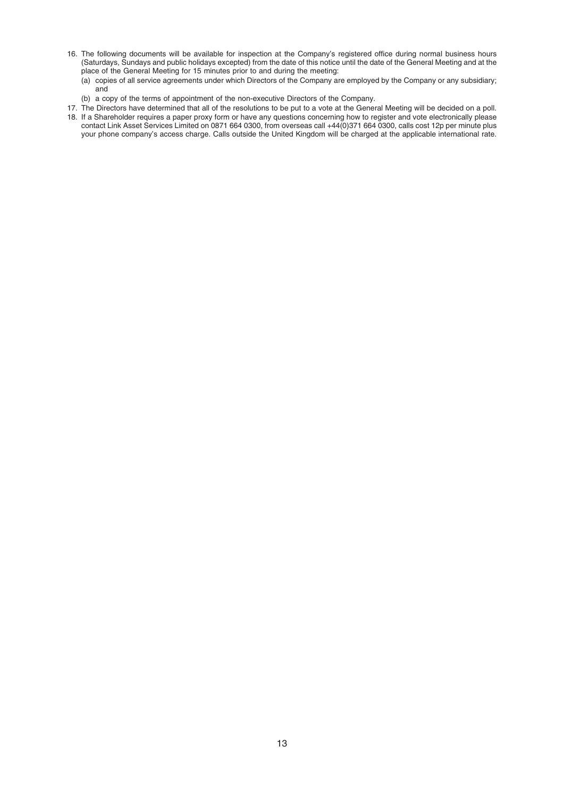- 16. The following documents will be available for inspection at the Company's registered office during normal business hours (Saturdays, Sundays and public holidays excepted) from the date of this notice until the date of the General Meeting and at the place of the General Meeting for 15 minutes prior to and during the meeting:
	- (a) copies of all service agreements under which Directors of the Company are employed by the Company or any subsidiary; and
	- (b) a copy of the terms of appointment of the non-executive Directors of the Company.
- 17. The Directors have determined that all of the resolutions to be put to a vote at the General Meeting will be decided on a poll. 18. If a Shareholder requires a paper proxy form or have any questions concerning how to register and vote electronically please contact Link Asset Services Limited on 0871 664 0300, from overseas call +44(0)371 664 0300, calls cost 12p per minute plus your phone company's access charge. Calls outside the United Kingdom will be charged at the applicable international rate.